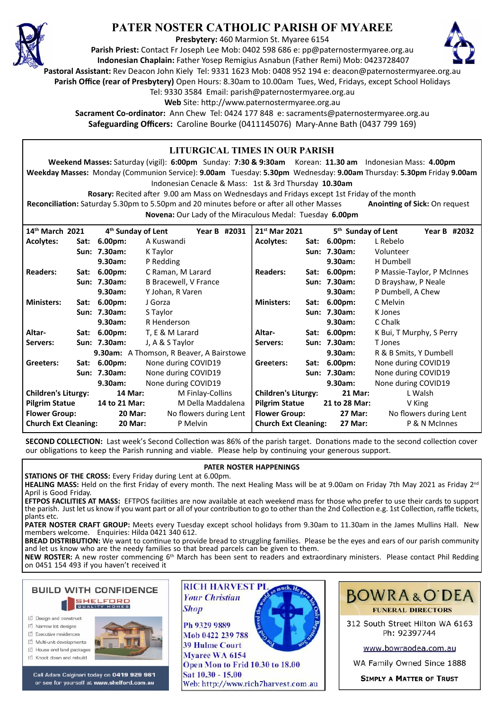

# **PATER NOSTER CATHOLIC PARISH OF MYAREE**

**Presbytery:** 460 Marmion St. Myaree 6154

**Parish Priest:** Contact Fr Joseph Lee Mob: 0402 598 686 e: pp@paternostermyaree.org.au **Indonesian Chaplain:** Father Yosep Remigius Asnabun (Father Remi) Mob: 0423728407



**Pastoral Assistant:** Rev Deacon John Kiely Tel: 9331 1623 Mob: 0408 952 194 e: deacon@paternostermyaree.org.au

**Parish Office (rear of Presbytery)** Open Hours: 8.30am to 10.00am Tues, Wed, Fridays, except School Holidays

Tel: 9330 3584 Email: parish@paternostermyaree.org.au

Web Site: http://www.paternostermyaree.org.au

**Sacrament Co-ordinator:** Ann Chew Tel: 0424 177 848 e: sacraments@paternostermyaree.org.au **Safeguarding Officers:** Caroline Bourke (0411145076) Mary-Anne Bath (0437 799 169)

#### **LITURGICAL TIMES IN OUR PARISH Weekend Masses:** Saturday (vigil): **6:00pm** Sunday: **7:30 & 9:30am** Korean: **11.30 am** Indonesian Mass: **4.00pm Weekday Masses:** Monday (Communion Service): **9.00am** Tuesday: **5.30pm** Wednesday: **9.00am** Thursday: **5.30pm** Friday **9.00am** Indonesian Cenacle & Mass: 1st & 3rd Thursday **10.30am Rosary:** Recited a�er 9.00 am Mass on Wednesdays and Fridays except 1st Friday of the month **Reconciliation:** Saturday 5.30pm to 5.50pm and 20 minutes before or after all other Masses **Anointing of Sick:** On request **Novena:** Our Lady of the Miraculous Medal: Tuesday **6.00pm 14th March 2021 4th Sunday of Lent Year B #2031 Acolytes: Sat: 6.00pm:** A Kuswandi **Sun: 7.30am:** K Taylor **9.30am:** P Redding **Readers: Sat: 6.00pm:** C Raman, M Larard **Sun: 7.30am:** B Bracewell, V France **9.30am:** Y Johan, R Varen **Ministers: Sat: 6.00pm:** J Gorza **Sun: 7.30am:** S Taylor **9.30am:** R Henderson **Altar- Sat: 6.00pm:** T, E & M Larard **Servers: Sun: 7.30am:** J, A & S Taylor **9.30am:** A Thomson, R Beaver, A Bairstowe **Greeters: Sat: 6.00pm:** None during COVID19 **Sun: 7.30am:** None during COVID19 **9.30am:** None during COVID19 **Children's Liturgy: 14 Mar:** M Finlay-Collins **Pilgrim Statue 14 to 21 Mar:** M Della Maddalena Flower Group: 20 Mar: No flowers during Lent **Church Ext Cleaning: 20 Mar:** P Melvin **21st Mar 2021 5th Sunday of Lent Year B #2032 Acolytes: Sat: 6.00pm:** L Rebelo **Sun: 7.30am:** Volunteer **9.30am:** H Dumbell **Readers: Sat: 6.00pm:** P Massie-Taylor, P McInnes **Sun: 7.30am:** D Brayshaw, P Neale **9.30am:** P Dumbell, A Chew **Ministers: Sat: 6.00pm:** C Melvin **Sun: 7.30am:** K Jones **9.30am:** C Chalk **Altar- Sat: 6.00pm:** K Bui, T Murphy, S Perry **Servers: Sun: 7.30am:** T Jones **9.30am:** R & B Smits, Y Dumbell **Gree**t**ers: Sat: 6.00pm:** None during COVID19 **Sun: 7.30am:** None during COVID19 **9.30am:** None during COVID19 **Children's Liturgy: 21 Mar:** L Walsh **Pilgrim Statue 21 to 28 Mar:** V King **Flower Group: 27 Mar:** No flowers during Lent **Church Ext Cleaning: 27 Mar:** P & N McInnes

SECOND COLLECTION: Last week's Second Collection was 86% of the parish target. Donations made to the second collection cover our obligations to keep the Parish running and viable. Please help by continuing your generous support.

## **PATER NOSTER HAPPENINGS**

**STATIONS OF THE CROSS:** Every Friday during Lent at 6.00pm.

**HEALING MASS:** Held on the first Friday of every month. The next Healing Mass will be at 9.00am on Friday 7th May 2021 as Friday 2nd April is Good Friday.

**EFTPOS FACILITIES AT MASS:** EFTPOS facili�es are now available at each weekend mass for those who prefer to use their cards to support the parish. Just let us know if you want part or all of your contribution to go to other than the 2nd Collection e.g. 1st Collection, raffle tickets, plants etc.

**PATER NOSTER CRAFT GROUP:** Meets every Tuesday except school holidays from 9.30am to 11.30am in the James Mullins Hall. New members welcome. Enquiries: Hilda 0421 340 612.

BREAD DISTRIBUTION: We want to continue to provide bread to struggling families. Please be the eyes and ears of our parish community and let us know who are the needy families so that bread parcels can be given to them.

**NEW ROSTER:** A new roster commencing 6th March has been sent to readers and extraordinary ministers. Please contact Phil Redding on 0451 154 493 if you haven't received it



- □ Design and construct
- $\triangledown$  Narrow lot designe
- $\triangledown$  Executive residences
- $\overrightarrow{2}$  Multi-unit developments
- M House and land packages
- ☑ Knock down and rebuild



Call Adam Calginari today on 0419 929 961 or see for yourself at www.shelford.com.au



Ph 9329 9889 Mob 0422 239 788 **39 Hulme Court** Mvaree WA 6154 Open Mon to Frid 10.30 to 18.00 Sat 10.30 - 15.00 Web: http://www.rich7harvest.com.au



312 South Street Hilton WA 6163 Ph: 92397744

www.bowraodea.com.au

WA Family Owned Since 1888

**SIMPLY A MATTER OF TRUST**